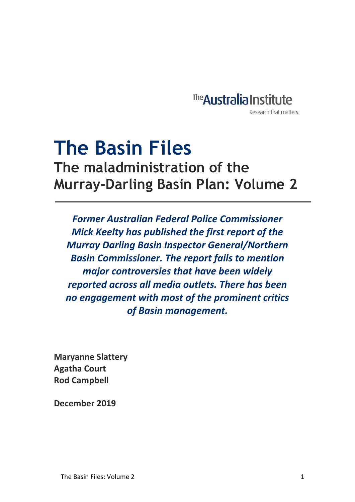

Research that matters.

# **The Basin Files The maladministration of the Murray-Darling Basin Plan: Volume 2**  $\ddot{\phantom{0}}$

*Former Australian Federal Police Commissioner Mick Keelty has published the first report of the Murray Darling Basin Inspector General/Northern Basin Commissioner. The report fails to mention major controversies that have been widely reported across all media outlets. There has been no engagement with most of the prominent critics of Basin management.*

**Maryanne Slattery Agatha Court Rod Campbell**

**December 2019**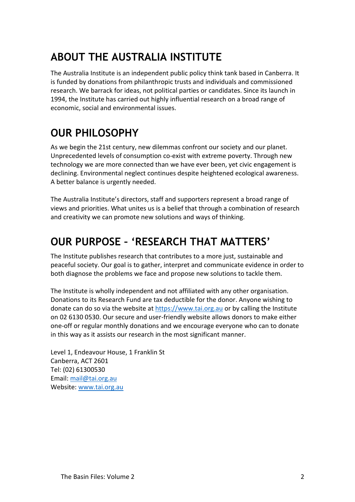# **ABOUT THE AUSTRALIA INSTITUTE**

The Australia Institute is an independent public policy think tank based in Canberra. It is funded by donations from philanthropic trusts and individuals and commissioned research. We barrack for ideas, not political parties or candidates. Since its launch in 1994, the Institute has carried out highly influential research on a broad range of economic, social and environmental issues.

# **OUR PHILOSOPHY**

As we begin the 21st century, new dilemmas confront our society and our planet. Unprecedented levels of consumption co-exist with extreme poverty. Through new technology we are more connected than we have ever been, yet civic engagement is declining. Environmental neglect continues despite heightened ecological awareness. A better balance is urgently needed.

The Australia Institute's directors, staff and supporters represent a broad range of views and priorities. What unites us is a belief that through a combination of research and creativity we can promote new solutions and ways of thinking.

# **OUR PURPOSE – 'RESEARCH THAT MATTERS'**

The Institute publishes research that contributes to a more just, sustainable and peaceful society. Our goal is to gather, interpret and communicate evidence in order to both diagnose the problems we face and propose new solutions to tackle them.

The Institute is wholly independent and not affiliated with any other organisation. Donations to its Research Fund are tax deductible for the donor. Anyone wishing to donate can do so via the website at [https://www.tai.org.au](https://www.tai.org.au/) or by calling the Institute on 02 6130 0530. Our secure and user-friendly website allows donors to make either one-off or regular monthly donations and we encourage everyone who can to donate in this way as it assists our research in the most significant manner.

Level 1, Endeavour House, 1 Franklin St Canberra, ACT 2601 Tel: (02) 61300530 Email: [mail@tai.org.au](mailto:mail@tai.org.au) Website: [www.tai.org.au](http://www.tai.org.au/)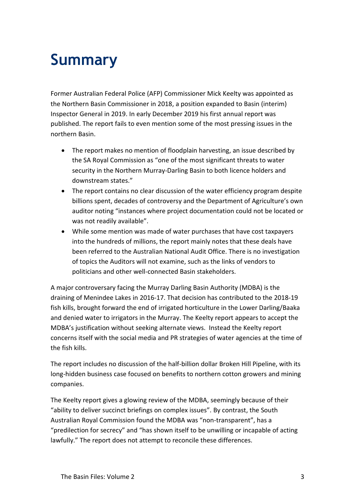# **Summary**

Former Australian Federal Police (AFP) Commissioner Mick Keelty was appointed as the Northern Basin Commissioner in 2018, a position expanded to Basin (interim) Inspector General in 2019. In early December 2019 his first annual report was published. The report fails to even mention some of the most pressing issues in the northern Basin.

- The report makes no mention of floodplain harvesting, an issue described by the SA Royal Commission as "one of the most significant threats to water security in the Northern Murray-Darling Basin to both licence holders and downstream states."
- The report contains no clear discussion of the water efficiency program despite billions spent, decades of controversy and the Department of Agriculture's own auditor noting "instances where project documentation could not be located or was not readily available".
- While some mention was made of water purchases that have cost taxpayers into the hundreds of millions, the report mainly notes that these deals have been referred to the Australian National Audit Office. There is no investigation of topics the Auditors will not examine, such as the links of vendors to politicians and other well-connected Basin stakeholders.

A major controversary facing the Murray Darling Basin Authority (MDBA) is the draining of Menindee Lakes in 2016-17. That decision has contributed to the 2018-19 fish kills, brought forward the end of irrigated horticulture in the Lower Darling/Baaka and denied water to irrigators in the Murray. The Keelty report appears to accept the MDBA's justification without seeking alternate views. Instead the Keelty report concerns itself with the social media and PR strategies of water agencies at the time of the fish kills.

The report includes no discussion of the half-billion dollar Broken Hill Pipeline, with its long-hidden business case focused on benefits to northern cotton growers and mining companies.

The Keelty report gives a glowing review of the MDBA, seemingly because of their "ability to deliver succinct briefings on complex issues". By contrast, the South Australian Royal Commission found the MDBA was "non-transparent", has a "predilection for secrecy" and "has shown itself to be unwilling or incapable of acting lawfully." The report does not attempt to reconcile these differences.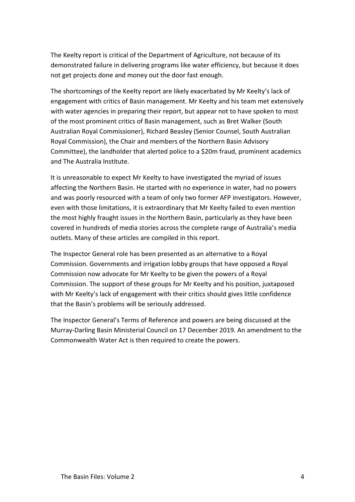The Keelty report is critical of the Department of Agriculture, not because of its demonstrated failure in delivering programs like water efficiency, but because it does not get projects done and money out the door fast enough.

The shortcomings of the Keelty report are likely exacerbated by Mr Keelty's lack of engagement with critics of Basin management. Mr Keelty and his team met extensively with water agencies in preparing their report, but appear not to have spoken to most of the most prominent critics of Basin management, such as Bret Walker (South Australian Royal Commissioner), Richard Beasley (Senior Counsel, South Australian Royal Commission), the Chair and members of the Northern Basin Advisory Committee), the landholder that alerted police to a \$20m fraud, prominent academics and The Australia Institute.

It is unreasonable to expect Mr Keelty to have investigated the myriad of issues affecting the Northern Basin. He started with no experience in water, had no powers and was poorly resourced with a team of only two former AFP investigators. However, even with those limitations, it is extraordinary that Mr Keelty failed to even mention the most highly fraught issues in the Northern Basin, particularly as they have been covered in hundreds of media stories across the complete range of Australia's media outlets. Many of these articles are compiled in this report.

The Inspector General role has been presented as an alternative to a Royal Commission. Governments and irrigation lobby groups that have opposed a Royal Commission now advocate for Mr Keelty to be given the powers of a Royal Commission. The support of these groups for Mr Keelty and his position, juxtaposed with Mr Keelty's lack of engagement with their critics should gives little confidence that the Basin's problems will be seriously addressed.

The Inspector General's Terms of Reference and powers are being discussed at the Murray-Darling Basin Ministerial Council on 17 December 2019. An amendment to the Commonwealth Water Act is then required to create the powers.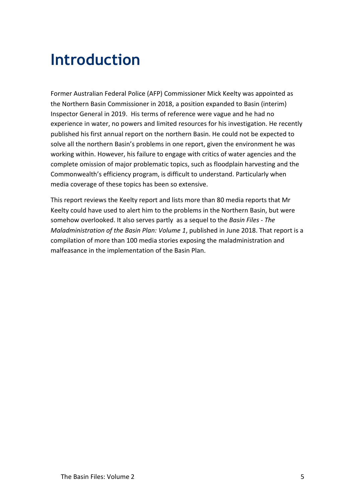# **Introduction**

Former Australian Federal Police (AFP) Commissioner Mick Keelty was appointed as the Northern Basin Commissioner in 2018, a position expanded to Basin (interim) Inspector General in 2019. His terms of reference were vague and he had no experience in water, no powers and limited resources for his investigation. He recently published his first annual report on the northern Basin. He could not be expected to solve all the northern Basin's problems in one report, given the environment he was working within. However, his failure to engage with critics of water agencies and the complete omission of major problematic topics, such as floodplain harvesting and the Commonwealth's efficiency program, is difficult to understand. Particularly when media coverage of these topics has been so extensive.

This report reviews the Keelty report and lists more than 80 media reports that Mr Keelty could have used to alert him to the problems in the Northern Basin, but were somehow overlooked. It also serves partly as a sequel to the *Basin Files - The Maladministration of the Basin Plan: Volume 1*, published in June 2018. That report is a compilation of more than 100 media stories exposing the maladministration and malfeasance in the implementation of the Basin Plan.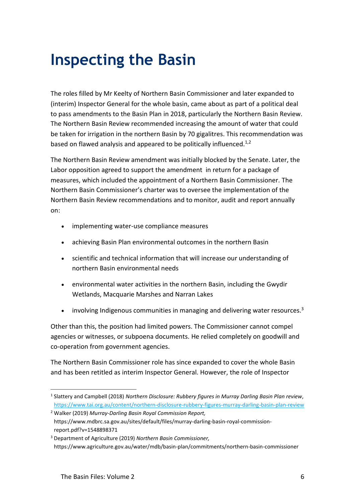# **Inspecting the Basin**

The roles filled by Mr Keelty of Northern Basin Commissioner and later expanded to (interim) Inspector General for the whole basin, came about as part of a political deal to pass amendments to the Basin Plan in 2018, particularly the Northern Basin Review. The Northern Basin Review recommended increasing the amount of water that could be taken for irrigation in the northern Basin by 70 gigalitres. This recommendation was based on flawed analysis and appeared to be politically influenced.<sup>1,2</sup>

The Northern Basin Review amendment was initially blocked by the Senate. Later, the Labor opposition agreed to support the amendment in return for a package of measures, which included the appointment of a Northern Basin Commissioner. The Northern Basin Commissioner's charter was to oversee the implementation of the Northern Basin Review recommendations and to monitor, audit and report annually on:

- implementing water-use compliance measures
- achieving Basin Plan environmental outcomes in the northern Basin
- scientific and technical information that will increase our understanding of northern Basin environmental needs
- environmental water activities in the northern Basin, including the Gwydir Wetlands, Macquarie Marshes and Narran Lakes
- involving Indigenous communities in managing and delivering water resources.<sup>3</sup>

Other than this, the position had limited powers. The Commissioner cannot compel agencies or witnesses, or subpoena documents. He relied completely on goodwill and co-operation from government agencies.

The Northern Basin Commissioner role has since expanded to cover the whole Basin and has been retitled as interim Inspector General. However, the role of Inspector

<sup>1</sup> Slattery and Campbell (2018) *Northern Disclosure: Rubbery figures in Murray Darling Basin Plan review*, <https://www.tai.org.au/content/northern-disclosure-rubbery-figures-murray-darling-basin-plan-review>

<sup>2</sup> Walker (2019) *Murray-Darling Basin Royal Commission Report,*  https://www.mdbrc.sa.gov.au/sites/default/files/murray-darling-basin-royal-commissionreport.pdf?v=1548898371

<sup>3</sup> Department of Agriculture (2019) *Northern Basin Commissioner,*  https://www.agriculture.gov.au/water/mdb/basin-plan/commitments/northern-basin-commissioner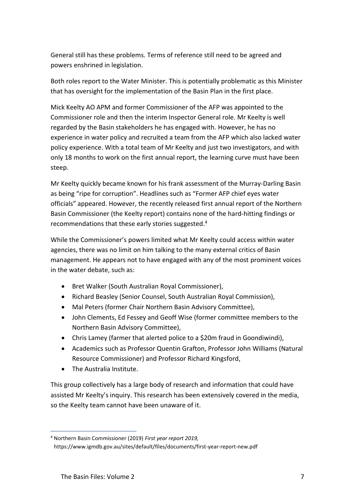General still has these problems. Terms of reference still need to be agreed and powers enshrined in legislation.

Both roles report to the Water Minister. This is potentially problematic as this Minister that has oversight for the implementation of the Basin Plan in the first place.

Mick Keelty AO APM and former Commissioner of the AFP was appointed to the Commissioner role and then the interim Inspector General role. Mr Keelty is well regarded by the Basin stakeholders he has engaged with. However, he has no experience in water policy and recruited a team from the AFP which also lacked water policy experience. With a total team of Mr Keelty and just two investigators, and with only 18 months to work on the first annual report, the learning curve must have been steep.

Mr Keelty quickly became known for his frank assessment of the Murray-Darling Basin as being "ripe for corruption". Headlines such as "Former AFP chief eyes water officials" appeared. However, the recently released first annual report of the Northern Basin Commissioner (the Keelty report) contains none of the hard-hitting findings or recommendations that these early stories suggested. 4

While the Commissioner's powers limited what Mr Keelty could access within water agencies, there was no limit on him talking to the many external critics of Basin management. He appears not to have engaged with any of the most prominent voices in the water debate, such as:

- Bret Walker (South Australian Royal Commissioner),
- Richard Beasley (Senior Counsel, South Australian Royal Commission),
- Mal Peters (former Chair Northern Basin Advisory Committee),
- John Clements, Ed Fessey and Geoff Wise (former committee members to the Northern Basin Advisory Committee),
- Chris Lamey (farmer that alerted police to a \$20m fraud in Goondiwindi),
- Academics such as Professor Quentin Grafton, Professor John Williams (Natural Resource Commissioner) and Professor Richard Kingsford,
- The Australia Institute.

This group collectively has a large body of research and information that could have assisted Mr Keelty's inquiry. This research has been extensively covered in the media, so the Keelty team cannot have been unaware of it.

 $\overline{a}$ <sup>4</sup> Northern Basin Commissioner (2019) *First year report 2019,* 

https://www.igmdb.gov.au/sites/default/files/documents/first-year-report-new.pdf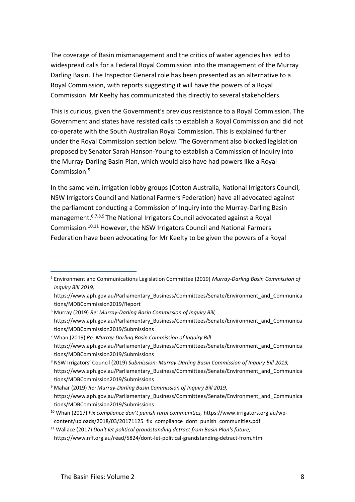The coverage of Basin mismanagement and the critics of water agencies has led to widespread calls for a Federal Royal Commission into the management of the Murray Darling Basin. The Inspector General role has been presented as an alternative to a Royal Commission, with reports suggesting it will have the powers of a Royal Commission. Mr Keelty has communicated this directly to several stakeholders.

This is curious, given the Government's previous resistance to a Royal Commission. The Government and states have resisted calls to establish a Royal Commission and did not co-operate with the South Australian Royal Commission. This is explained further under the [Royal Commission](#page-17-0) section below. The Government also blocked legislation proposed by Senator Sarah Hanson-Young to establish a Commission of Inquiry into the Murray-Darling Basin Plan, which would also have had powers like a Royal Commission. 5

In the same vein, irrigation lobby groups (Cotton Australia, National Irrigators Council, NSW Irrigators Council and National Farmers Federation) have all advocated against the parliament conducting a Commission of Inquiry into the Murray-Darling Basin management.<sup>6,7,8,9</sup> The National Irrigators Council advocated against a Royal Commission. 10,11 However, the NSW Irrigators Council and National Farmers Federation have been advocating for Mr Keelty to be given the powers of a Royal

 $\overline{a}$ <sup>5</sup> Environment and Communications Legislation Committee (2019) *Murray-Darling Basin Commission of Inquiry Bill 2019,* 

https://www.aph.gov.au/Parliamentary\_Business/Committees/Senate/Environment\_and\_Communica tions/MDBCommission2019/Report

<sup>6</sup> Murray (2019) *Re: Murray-Darling Basin Commission of Inquiry Bill,*  https://www.aph.gov.au/Parliamentary\_Business/Committees/Senate/Environment\_and\_Communica tions/MDBCommission2019/Submissions

<sup>7</sup> Whan (2019) *Re: Murray-Darling Basin Commission of Inquiry Bill* https://www.aph.gov.au/Parliamentary\_Business/Committees/Senate/Environment\_and\_Communica tions/MDBCommission2019/Submissions

<sup>8</sup> NSW Irrigators' Council (2019) *Submission: Murray-Darling Basin Commission of Inquiry Bill 2019,*  https://www.aph.gov.au/Parliamentary\_Business/Committees/Senate/Environment\_and\_Communica tions/MDBCommission2019/Submissions

<sup>9</sup> Mahar (2019) *Re: Murray-Darling Basin Commission of Inquiry Bill 2019,* https://www.aph.gov.au/Parliamentary\_Business/Committees/Senate/Environment\_and\_Communica tions/MDBCommission2019/Submissions

<sup>10</sup> Whan (2017) *Fix compliance don't punish rural communities,* https://www.irrigators.org.au/wpcontent/uploads/2018/03/20171125\_fix\_compliance\_dont\_punish\_communities.pdf

<sup>11</sup> Wallace (2017) *Don't let political grandstanding detract from Basin Plan's future,* https://www.nff.org.au/read/5824/dont-let-political-grandstanding-detract-from.html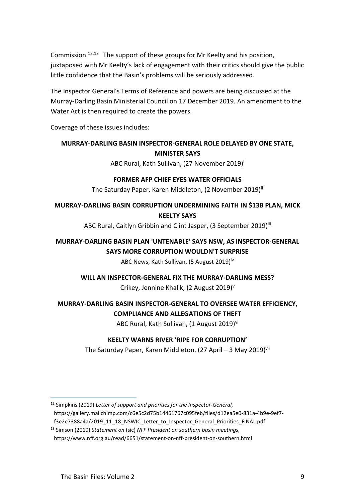Commission.<sup>12,13</sup> The support of these groups for Mr Keelty and his position, juxtaposed with Mr Keelty's lack of engagement with their critics should give the public little confidence that the Basin's problems will be seriously addressed.

The Inspector General's Terms of Reference and powers are being discussed at the Murray-Darling Basin Ministerial Council on 17 December 2019. An amendment to the Water Act is then required to create the powers.

Coverage of these issues includes:

## **MURRAY-DARLING BASIN INSPECTOR-GENERAL ROLE DELAYED BY ONE STATE, MINISTER SAYS**

ABC Rural, Kath Sullivan, (27 November 2019)<sup>i</sup>

#### **FORMER AFP CHIEF EYES WATER OFFICIALS**

The Saturday Paper, Karen Middleton, (2 November 2019)<sup>ii</sup>

### **MURRAY-DARLING BASIN CORRUPTION UNDERMINING FAITH IN \$13B PLAN, MICK KEELTY SAYS**

ABC Rural, Caitlyn Gribbin and Clint Jasper, (3 September 2019)<sup>iii</sup>

# **MURRAY-DARLING BASIN PLAN 'UNTENABLE' SAYS NSW, AS INSPECTOR-GENERAL SAYS MORE CORRUPTION WOULDN'T SURPRISE**

ABC News, Kath Sullivan, (5 August 2019)<sup>iv</sup>

#### **WILL AN INSPECTOR-GENERAL FIX THE MURRAY-DARLING MESS?**

Crikey, Jennine Khalik, (2 August 2019)<sup>v</sup>

# **MURRAY-DARLING BASIN INSPECTOR-GENERAL TO OVERSEE WATER EFFICIENCY, COMPLIANCE AND ALLEGATIONS OF THEFT**

ABC Rural, Kath Sullivan, (1 August 2019)<sup>vi</sup>

#### **KEELTY WARNS RIVER 'RIPE FOR CORRUPTION'**

The Saturday Paper, Karen Middleton, (27 April – 3 May 2019)<sup>vii</sup>

<sup>12</sup> Simpkins (2019) *Letter of support and priorities for the Inspector-General,*  https://gallery.mailchimp.com/c6e5c2d75b14461767c095feb/files/d12ea5e0-831a-4b9e-9ef7 f3e2e7388a4a/2019\_11\_18\_NSWIC\_Letter\_to\_Inspector\_General\_Priorities\_FINAL.pdf

<sup>13</sup> Simson (2019) *Statement on* (sic) *NFF President on southern basin meetings,*  https://www.nff.org.au/read/6651/statement-on-nff-president-on-southern.html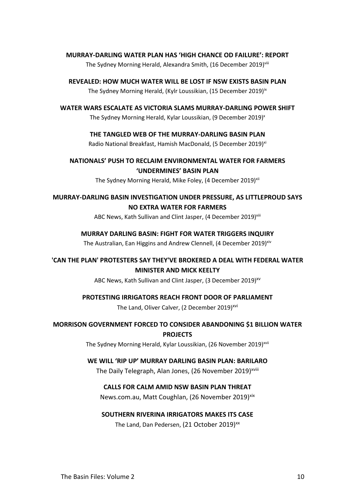#### **MURRAY-DARLING WATER PLAN HAS 'HIGH CHANCE OD FAILURE': REPORT**

The Sydney Morning Herald, Alexandra Smith, (16 December 2019)<sup>viii</sup>

**REVEALED: HOW MUCH WATER WILL BE LOST IF NSW EXISTS BASIN PLAN** The Sydney Morning Herald, (Kylr Loussikian, (15 December 2019)<sup>ix</sup>

**WATER WARS ESCALATE AS VICTORIA SLAMS MURRAY-DARLING POWER SHIFT**

The Sydney Morning Herald, Kylar Loussikian, (9 December 2019)<sup>x</sup>

#### **THE TANGLED WEB OF THE MURRAY-DARLING BASIN PLAN**

Radio National Breakfast, Hamish MacDonald, (5 December 2019)<sup>xi</sup>

**NATIONALS' PUSH TO RECLAIM ENVIRONMENTAL WATER FOR FARMERS 'UNDERMINES' BASIN PLAN**

The Sydney Morning Herald, Mike Foley, (4 December 2019)<sup>xii</sup>

**MURRAY-DARLING BASIN INVESTIGATION UNDER PRESSURE, AS LITTLEPROUD SAYS NO EXTRA WATER FOR FARMERS**

ABC News, Kath Sullivan and Clint Jasper, (4 December 2019)<sup>xiii</sup>

#### **MURRAY DARLING BASIN: FIGHT FOR WATER TRIGGERS INQUIRY**

The Australian, Ean Higgins and Andrew Clennell, (4 December 2019)<sup>xiv</sup>

**'CAN THE PLAN' PROTESTERS SAY THEY'VE BROKERED A DEAL WITH FEDERAL WATER MINISTER AND MICK KEELTY**

ABC News, Kath Sullivan and Clint Jasper, (3 December 2019)<sup>xv</sup>

#### **PROTESTING IRRIGATORS REACH FRONT DOOR OF PARLIAMENT**

The Land, Oliver Calver, (2 December 2019)<sup>xvi</sup>

**MORRISON GOVERNMENT FORCED TO CONSIDER ABANDONING \$1 BILLION WATER** 

**PROJECTS**

The Sydney Morning Herald, Kylar Loussikian, (26 November 2019)<sup>xvii</sup>

#### **WE WILL 'RIP UP' MURRAY DARLING BASIN PLAN: BARILARO**

The Daily Telegraph, Alan Jones, (26 November 2019)<sup>xviii</sup>

#### **CALLS FOR CALM AMID NSW BASIN PLAN THREAT**

News.com.au, Matt Coughlan, (26 November 2019)<sup>xix</sup>

#### **SOUTHERN RIVERINA IRRIGATORS MAKES ITS CASE**

The Land, Dan Pedersen, (21 October 2019)<sup>xx</sup>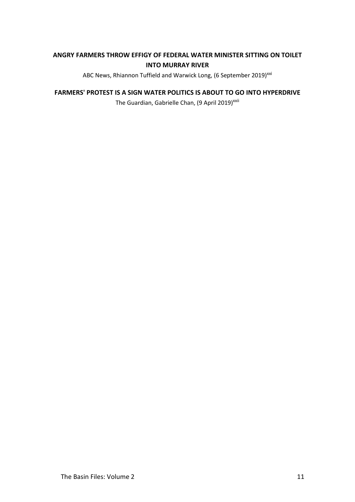### **ANGRY FARMERS THROW EFFIGY OF FEDERAL WATER MINISTER SITTING ON TOILET INTO MURRAY RIVER**

ABC News, Rhiannon Tuffield and Warwick Long, (6 September 2019)<sup>xxi</sup>

#### **FARMERS' PROTEST IS A SIGN WATER POLITICS IS ABOUT TO GO INTO HYPERDRIVE**

The Guardian, Gabrielle Chan, (9 April 2019)<sup>xxii</sup>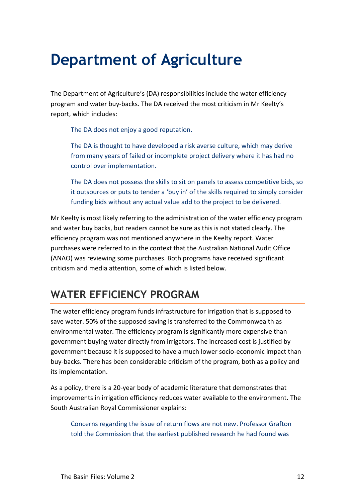# **Department of Agriculture**

The Department of Agriculture's (DA) responsibilities include the water efficiency program and water buy-backs. The DA received the most criticism in Mr Keelty's report, which includes:

The DA does not enjoy a good reputation.

The DA is thought to have developed a risk averse culture, which may derive from many years of failed or incomplete project delivery where it has had no control over implementation.

The DA does not possess the skills to sit on panels to assess competitive bids, so it outsources or puts to tender a 'buy in' of the skills required to simply consider funding bids without any actual value add to the project to be delivered.

Mr Keelty is most likely referring to the administration of the water efficiency program and water buy backs, but readers cannot be sure as this is not stated clearly. The efficiency program was not mentioned anywhere in the Keelty report. Water purchases were referred to in the context that the Australian National Audit Office (ANAO) was reviewing some purchases. Both programs have received significant criticism and media attention, some of which is listed below.

# **WATER EFFICIENCY PROGRAM**

The water efficiency program funds infrastructure for irrigation that is supposed to save water. 50% of the supposed saving is transferred to the Commonwealth as environmental water. The efficiency program is significantly more expensive than government buying water directly from irrigators. The increased cost is justified by government because it is supposed to have a much lower socio-economic impact than buy-backs. There has been considerable criticism of the program, both as a policy and its implementation.

As a policy, there is a 20-year body of academic literature that demonstrates that improvements in irrigation efficiency reduces water available to the environment. The South Australian Royal Commissioner explains:

Concerns regarding the issue of return flows are not new. Professor Grafton told the Commission that the earliest published research he had found was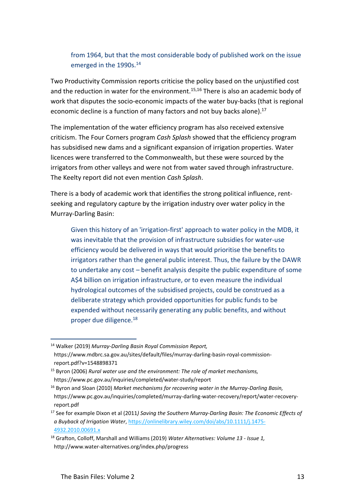## from 1964, but that the most considerable body of published work on the issue emerged in the 1990s.<sup>14</sup>

Two Productivity Commission reports criticise the policy based on the unjustified cost and the reduction in water for the environment.<sup>15,16</sup> There is also an academic body of work that disputes the socio-economic impacts of the water buy-backs (that is regional economic decline is a function of many factors and not buy backs alone).<sup>17</sup>

The implementation of the water efficiency program has also received extensive criticism. The Four Corners program *Cash Splash* showed that the efficiency program has subsidised new dams and a significant expansion of irrigation properties. Water licences were transferred to the Commonwealth, but these were sourced by the irrigators from other valleys and were not from water saved through infrastructure. The Keelty report did not even mention *Cash Splash*.

There is a body of academic work that identifies the strong political influence, rentseeking and regulatory capture by the irrigation industry over water policy in the Murray-Darling Basin:

Given this history of an 'irrigation-first' approach to water policy in the MDB, it was inevitable that the provision of infrastructure subsidies for water-use efficiency would be delivered in ways that would prioritise the benefits to irrigators rather than the general public interest. Thus, the failure by the DAWR to undertake any cost – benefit analysis despite the public expenditure of some A\$4 billion on irrigation infrastructure, or to even measure the individual hydrological outcomes of the subsidised projects, could be construed as a deliberate strategy which provided opportunities for public funds to be expended without necessarily generating any public benefits, and without proper due diligence.<sup>18</sup>

 $\overline{a}$ <sup>14</sup> Walker (2019) *Murray-Darling Basin Royal Commission Report,*  https://www.mdbrc.sa.gov.au/sites/default/files/murray-darling-basin-royal-commissionreport.pdf?v=1548898371

<sup>15</sup> Byron (2006) *Rural water use and the environment: The role of market mechanisms,*  https://www.pc.gov.au/inquiries/completed/water-study/report

<sup>16</sup> Byron and Sloan (2010) *Market mechanisms for recovering water in the Murray-Darling Basin,*  https://www.pc.gov.au/inquiries/completed/murray-darling-water-recovery/report/water-recoveryreport.pdf

<sup>17</sup> See for example Dixon et al (2011*) Saving the Southern Murray‐Darling Basin: The Economic Effects of a Buyback of Irrigation Water*[, https://onlinelibrary.wiley.com/doi/abs/10.1111/j.1475-](https://onlinelibrary.wiley.com/doi/abs/10.1111/j.1475-4932.2010.00691.x) [4932.2010.00691.x](https://onlinelibrary.wiley.com/doi/abs/10.1111/j.1475-4932.2010.00691.x)

<sup>18</sup> Grafton, Colloff, Marshall and Williams (2019) *Water Alternatives: Volume 13 - Issue 1,*  http://www.water-alternatives.org/index.php/progress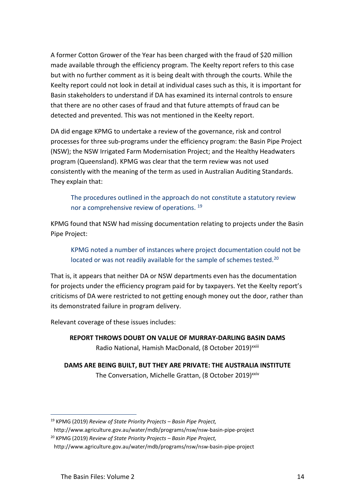A former Cotton Grower of the Year has been charged with the fraud of \$20 million made available through the efficiency program. The Keelty report refers to this case but with no further comment as it is being dealt with through the courts. While the Keelty report could not look in detail at individual cases such as this, it is important for Basin stakeholders to understand if DA has examined its internal controls to ensure that there are no other cases of fraud and that future attempts of fraud can be detected and prevented. This was not mentioned in the Keelty report.

DA did engage KPMG to undertake a review of the governance, risk and control processes for three sub-programs under the efficiency program: the Basin Pipe Project (NSW); the NSW Irrigated Farm Modernisation Project; and the Healthy Headwaters program (Queensland). KPMG was clear that the term review was not used consistently with the meaning of the term as used in Australian Auditing Standards. They explain that:

The procedures outlined in the approach do not constitute a statutory review nor a comprehensive review of operations.<sup>19</sup>

KPMG found that NSW had missing documentation relating to projects under the Basin Pipe Project:

KPMG noted a number of instances where project documentation could not be located or was not readily available for the sample of schemes tested.<sup>20</sup>

That is, it appears that neither DA or NSW departments even has the documentation for projects under the efficiency program paid for by taxpayers. Yet the Keelty report's criticisms of DA were restricted to not getting enough money out the door, rather than its demonstrated failure in program delivery.

Relevant coverage of these issues includes:

**REPORT THROWS DOUBT ON VALUE OF MURRAY-DARLING BASIN DAMS** Radio National, Hamish MacDonald, (8 October 2019)<sup>xxiii</sup>

**DAMS ARE BEING BUILT, BUT THEY ARE PRIVATE: THE AUSTRALIA INSTITUTE** The Conversation, Michelle Grattan, (8 October 2019)<sup>xxiv</sup>

<sup>19</sup> KPMG (2019) *Review of State Priority Projects – Basin Pipe Project,* 

http://www.agriculture.gov.au/water/mdb/programs/nsw/nsw-basin-pipe-project

<sup>20</sup> KPMG (2019) *Review of State Priority Projects – Basin Pipe Project,* 

http://www.agriculture.gov.au/water/mdb/programs/nsw/nsw-basin-pipe-project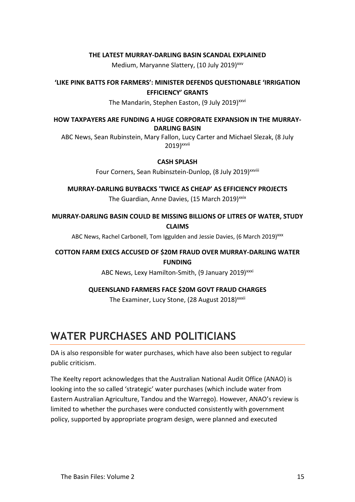#### **THE LATEST MURRAY-DARLING BASIN SCANDAL EXPLAINED**

Medium, Maryanne Slattery, (10 July 2019)<sup>xxv</sup>

**'LIKE PINK BATTS FOR FARMERS': MINISTER DEFENDS QUESTIONABLE 'IRRIGATION EFFICIENCY' GRANTS**

The Mandarin, Stephen Easton, (9 July 2019)<sup>xxvi</sup>

**HOW TAXPAYERS ARE FUNDING A HUGE CORPORATE EXPANSION IN THE MURRAY-DARLING BASIN**

ABC News, Sean Rubinstein, Mary Fallon, Lucy Carter and Michael Slezak, (8 July 2019)<sup>xxvii</sup>

#### **CASH SPLASH**

Four Corners, Sean Rubinsztein-Dunlop, (8 July 2019)<sup>xxviii</sup>

**MURRAY-DARLING BUYBACKS 'TWICE AS CHEAP' AS EFFICIENCY PROJECTS** The Guardian, Anne Davies, (15 March 2019)<sup>xxix</sup>

**MURRAY-DARLING BASIN COULD BE MISSING BILLIONS OF LITRES OF WATER, STUDY CLAIMS**

ABC News, Rachel Carbonell, Tom Iggulden and Jessie Davies, (6 March 2019)<sup>xxx</sup>

#### **COTTON FARM EXECS ACCUSED OF \$20M FRAUD OVER MURRAY-DARLING WATER FUNDING**

ABC News, Lexy Hamilton-Smith, (9 January 2019)<sup>xxxi</sup>

#### **QUEENSLAND FARMERS FACE \$20M GOVT FRAUD CHARGES**

The Examiner, Lucy Stone, (28 August 2018)<sup>xxxii</sup>

# **WATER PURCHASES AND POLITICIANS**

DA is also responsible for water purchases, which have also been subject to regular public criticism.

The Keelty report acknowledges that the Australian National Audit Office (ANAO) is looking into the so called 'strategic' water purchases (which include water from Eastern Australian Agriculture, Tandou and the Warrego). However, ANAO's review is limited to whether the purchases were conducted consistently with government policy, supported by appropriate program design, were planned and executed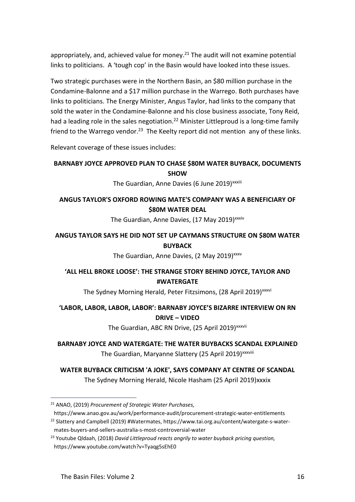appropriately, and, achieved value for money. $21$  The audit will not examine potential links to politicians. A 'tough cop' in the Basin would have looked into these issues.

Two strategic purchases were in the Northern Basin, an \$80 million purchase in the Condamine-Balonne and a \$17 million purchase in the Warrego. Both purchases have links to politicians. The Energy Minister, Angus Taylor, had links to the company that sold the water in the Condamine-Balonne and his close business associate, Tony Reid, had a leading role in the sales negotiation.<sup>22</sup> Minister Littleproud is a long-time family friend to the Warrego vendor.<sup>23</sup> The Keelty report did not mention any of these links.

Relevant coverage of these issues includes:

#### **BARNABY JOYCE APPROVED PLAN TO CHASE \$80M WATER BUYBACK, DOCUMENTS SHOW**

The Guardian, Anne Davies (6 June 2019)<sup>xxxiii</sup>

## **ANGUS TAYLOR'S OXFORD ROWING MATE'S COMPANY WAS A BENEFICIARY OF \$80M WATER DEAL**

The Guardian, Anne Davies, (17 May 2019)<sup>xxxiv</sup>

# **ANGUS TAYLOR SAYS HE DID NOT SET UP CAYMANS STRUCTURE ON \$80M WATER BUYBACK**

The Guardian, Anne Davies, (2 May 2019)<sup>xxxv</sup>

## **'ALL HELL BROKE LOOSE': THE STRANGE STORY BEHIND JOYCE, TAYLOR AND #WATERGATE**

The Sydney Morning Herald, Peter Fitzsimons, (28 April 2019)<sup>xxxvi</sup>

# **'LABOR, LABOR, LABOR, LABOR': BARNABY JOYCE'S BIZARRE INTERVIEW ON RN DRIVE – VIDEO**

The Guardian, ABC RN Drive, (25 April 2019)<sup>xxxvii</sup>

## **BARNABY JOYCE AND WATERGATE: THE WATER BUYBACKS SCANDAL EXPLAINED** The Guardian, Maryanne Slattery (25 April 2019) xxxviii

# **WATER BUYBACK CRITICISM 'A JOKE', SAYS COMPANY AT CENTRE OF SCANDAL** The Sydney Morning Herald, Nicole Hasham (25 April 2019)xxxix

https://www.anao.gov.au/work/performance-audit/procurement-strategic-water-entitlements <sup>22</sup> Slattery and Campbell (2019) #Watermates, https://www.tai.org.au/content/watergate-s-water-

<sup>21</sup> ANAO, (2019) *Procurement of Strategic Water Purchases,* 

mates-buyers-and-sellers-australia-s-most-controversial-water

<sup>23</sup> Youtube Qldaah, (2018) *David Littleproud reacts angrily to water buyback pricing question,*  https://www.youtube.com/watch?v=Tyaqg5sEhE0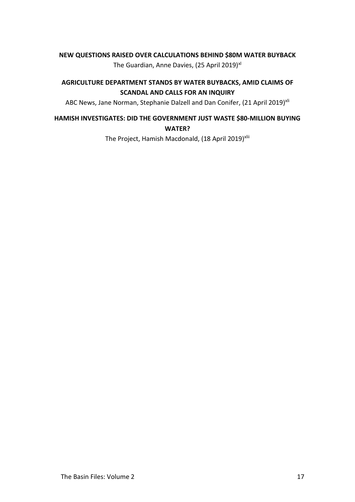#### **NEW QUESTIONS RAISED OVER CALCULATIONS BEHIND \$80M WATER BUYBACK**

The Guardian, Anne Davies, (25 April 2019)<sup>xl</sup>

#### **AGRICULTURE DEPARTMENT STANDS BY WATER BUYBACKS, AMID CLAIMS OF SCANDAL AND CALLS FOR AN INQUIRY**

ABC News, Jane Norman, Stephanie Dalzell and Dan Conifer, (21 April 2019)<sup>xli</sup>

### **HAMISH INVESTIGATES: DID THE GOVERNMENT JUST WASTE \$80-MILLION BUYING WATER?**

The Project, Hamish Macdonald, (18 April 2019)<sup>xlii</sup>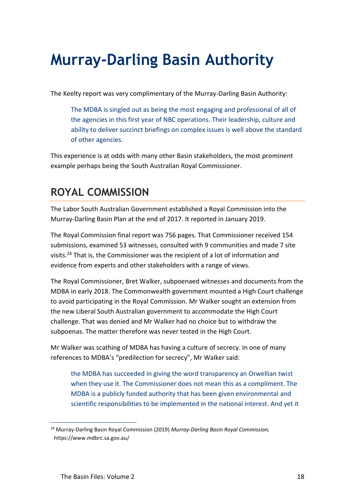# **Murray-Darling Basin Authority**

The Keelty report was very complimentary of the Murray-Darling Basin Authority:

The MDBA is singled out as being the most engaging and professional of all of the agencies in this first year of NBC operations. Their leadership, culture and ability to deliver succinct briefings on complex issues is well above the standard of other agencies.

This experience is at odds with many other Basin stakeholders, the most prominent example perhaps being the South Australian Royal Commissioner.

# <span id="page-17-0"></span>**ROYAL COMMISSION**

The Labor South Australian Government established a Royal Commission into the Murray-Darling Basin Plan at the end of 2017. It reported in January 2019.

The Royal Commission final report was 756 pages. That Commissioner received 154 submissions, examined 53 witnesses, consulted with 9 communities and made 7 site visits.<sup>24</sup> That is, the Commissioner was the recipient of a lot of information and evidence from experts and other stakeholders with a range of views.

The Royal Commissioner, Bret Walker, subpoenaed witnesses and documents from the MDBA in early 2018. The Commonwealth government mounted a High Court challenge to avoid participating in the Royal Commission. Mr Walker sought an extension from the new Liberal South Australian government to accommodate the High Court challenge. That was denied and Mr Walker had no choice but to withdraw the subpoenas. The matter therefore was never tested in the High Court.

Mr Walker was scathing of MDBA has having a culture of secrecy. In one of many references to MDBA's "predilection for secrecy", Mr Walker said:

the MDBA has succeeded in giving the word transparency an Orwellian twist when they use it. The Commissioner does not mean this as a compliment. The MDBA is a publicly funded authority that has been given environmental and scientific responsibilities to be implemented in the national interest. And yet it

<sup>24</sup> Murray-Darling Basin Royal Commission (2019) *Murray-Darling Basin Royal Commission,*  https://www.mdbrc.sa.gov.au/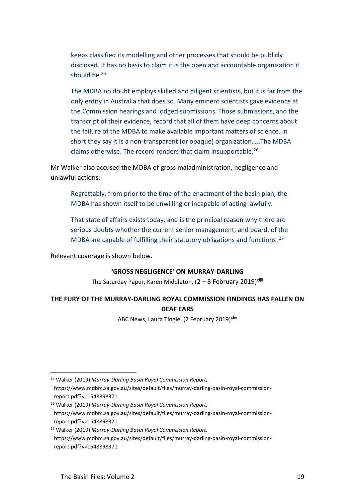keeps classified its modelling and other processes that should be publicly disclosed. It has no basis to claim it is the open and accountable organization it should be.<sup>25</sup>

The MDBA no doubt employs skilled and diligent scientists, but it is far from the only entity in Australia that does so. Many eminent scientists gave evidence at the Commission hearings and lodged submissions. Those submissions, and the transcript of their evidence, record that all of them have deep concerns about the failure of the MDBA to make available important matters of science. In short they say it is a non-transparent (or opaque) organization…..The MDBA claims otherwise. The record renders that claim insupportable.<sup>26</sup>

Mr Walker also accused the MDBA of gross maladministration, negligence and unlawful actions:

Regrettably, from prior to the time of the enactment of the basin plan, the MDBA has shown itself to be unwilling or incapable of acting lawfully.

That state of affairs exists today, and is the principal reason why there are serious doubts whether the current senior management, and board, of the MDBA are capable of fulfilling their statutory obligations and functions.<sup>27</sup>

Relevant coverage is shown below.

#### **'GROSS NEGLIGENCE' ON MURRAY-DARLING**

The Saturday Paper, Karen Middleton,  $(2 - 8$  February 2019)<sup>xliii</sup>

# **THE FURY OF THE MURRAY-DARLING ROYAL COMMISSION FINDINGS HAS FALLEN ON DEAF EARS**

ABC News, Laura Tingle, (2 February 2019)<sup>xliv</sup>

<sup>25</sup> Walker (2019) *Murray-Darling Basin Royal Commission Report,*  https://www.mdbrc.sa.gov.au/sites/default/files/murray-darling-basin-royal-commissionreport.pdf?v=1548898371

<sup>26</sup> Walker (2019) *Murray-Darling Basin Royal Commission Report,*  https://www.mdbrc.sa.gov.au/sites/default/files/murray-darling-basin-royal-commissionreport.pdf?v=1548898371

<sup>27</sup> Walker (2019) *Murray-Darling Basin Royal Commission Report,*  https://www.mdbrc.sa.gov.au/sites/default/files/murray-darling-basin-royal-commissionreport.pdf?v=1548898371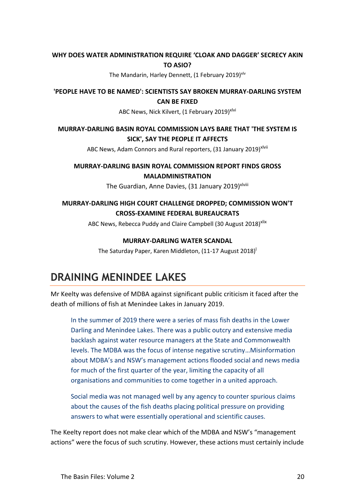#### **WHY DOES WATER ADMINISTRATION REQUIRE 'CLOAK AND DAGGER' SECRECY AKIN TO ASIO?**

The Mandarin, Harley Dennett, (1 February 2019)<sup>xlv</sup>

**'PEOPLE HAVE TO BE NAMED': SCIENTISTS SAY BROKEN MURRAY-DARLING SYSTEM CAN BE FIXED**

ABC News, Nick Kilvert, (1 February 2019)<sup>xlvi</sup>

## **MURRAY-DARLING BASIN ROYAL COMMISSION LAYS BARE THAT 'THE SYSTEM IS SICK', SAY THE PEOPLE IT AFFECTS**

ABC News, Adam Connors and Rural reporters, (31 January 2019)<sup>xlvii</sup>

## **MURRAY-DARLING BASIN ROYAL COMMISSION REPORT FINDS GROSS MALADMINISTRATION**

The Guardian, Anne Davies, (31 January 2019)<sup>xlviii</sup>

# **MURRAY-DARLING HIGH COURT CHALLENGE DROPPED; COMMISSION WON'T CROSS-EXAMINE FEDERAL BUREAUCRATS**

ABC News, Rebecca Puddy and Claire Campbell (30 August 2018)<sup>Xlix</sup>

#### **MURRAY-DARLING WATER SCANDAL**

The Saturday Paper, Karen Middleton, (11-17 August 2018)<sup>|</sup>

# **DRAINING MENINDEE LAKES**

Mr Keelty was defensive of MDBA against significant public criticism it faced after the death of millions of fish at Menindee Lakes in January 2019.

In the summer of 2019 there were a series of mass fish deaths in the Lower Darling and Menindee Lakes. There was a public outcry and extensive media backlash against water resource managers at the State and Commonwealth levels. The MDBA was the focus of intense negative scrutiny…Misinformation about MDBA's and NSW's management actions flooded social and news media for much of the first quarter of the year, limiting the capacity of all organisations and communities to come together in a united approach.

Social media was not managed well by any agency to counter spurious claims about the causes of the fish deaths placing political pressure on providing answers to what were essentially operational and scientific causes.

The Keelty report does not make clear which of the MDBA and NSW's "management actions" were the focus of such scrutiny. However, these actions must certainly include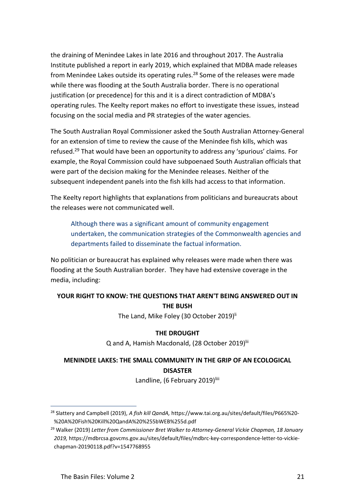the draining of Menindee Lakes in late 2016 and throughout 2017. The Australia Institute published a report in early 2019, which explained that MDBA made releases from Menindee Lakes outside its operating rules.<sup>28</sup> Some of the releases were made while there was flooding at the South Australia border. There is no operational justification (or precedence) for this and it is a direct contradiction of MDBA's operating rules. The Keelty report makes no effort to investigate these issues, instead focusing on the social media and PR strategies of the water agencies.

The South Australian Royal Commissioner asked the South Australian Attorney-General for an extension of time to review the cause of the Menindee fish kills, which was refused. <sup>29</sup> That would have been an opportunity to address any 'spurious' claims. For example, the Royal Commission could have subpoenaed South Australian officials that were part of the decision making for the Menindee releases. Neither of the subsequent independent panels into the fish kills had access to that information.

The Keelty report highlights that explanations from politicians and bureaucrats about the releases were not communicated well.

Although there was a significant amount of community engagement undertaken, the communication strategies of the Commonwealth agencies and departments failed to disseminate the factual information.

No politician or bureaucrat has explained why releases were made when there was flooding at the South Australian border. They have had extensive coverage in the media, including:

# **YOUR RIGHT TO KNOW: THE QUESTIONS THAT AREN'T BEING ANSWERED OUT IN THE BUSH**

The Land, Mike Foley (30 October 2019)<sup>li</sup>

#### **THE DROUGHT**

Q and A, Hamish Macdonald, (28 October 2019)<sup>lii</sup>

# **MENINDEE LAKES: THE SMALL COMMUNITY IN THE GRIP OF AN ECOLOGICAL DISASTER**

Landline, (6 February 2019)<sup>liii</sup>

 $\overline{a}$ <sup>28</sup> Slattery and Campbell (2019), *A fish kill QandA,* https://www.tai.org.au/sites/default/files/P665%20- %20A%20Fish%20Kill%20QandA%20%255bWEB%255d.pdf

<sup>29</sup> Walker (2019) *Letter from Commissioner Bret Walker to Attorney-General Vickie Chapman, 18 January 2019,* https://mdbrcsa.govcms.gov.au/sites/default/files/mdbrc-key-correspondence-letter-to-vickiechapman-20190118.pdf?v=1547768955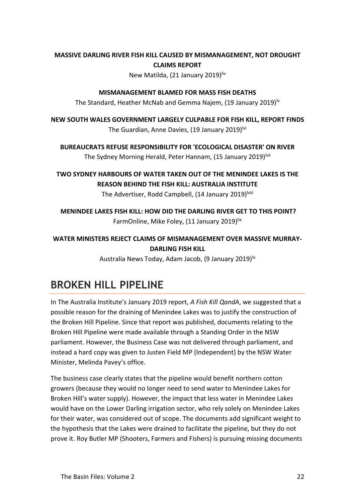## **MASSIVE DARLING RIVER FISH KILL CAUSED BY MISMANAGEMENT, NOT DROUGHT CLAIMS REPORT**

New Matilda, (21 January 2019)liv

#### **MISMANAGEMENT BLAMED FOR MASS FISH DEATHS**

The Standard, Heather McNab and Gemma Najem, (19 January 2019)<sup>lv</sup>

**NEW SOUTH WALES GOVERNMENT LARGELY CULPABLE FOR FISH KILL, REPORT FINDS** The Guardian, Anne Davies, (19 January 2019)<sup>lvi</sup>

**BUREAUCRATS REFUSE RESPONSIBILITY FOR 'ECOLOGICAL DISASTER' ON RIVER** The Sydney Morning Herald, Peter Hannam, (15 January 2019)<sup>lvii</sup>

# **TWO SYDNEY HARBOURS OF WATER TAKEN OUT OF THE MENINDEE LAKES IS THE REASON BEHIND THE FISH KILL: AUSTRALIA INSTITUTE**

The Advertiser, Rodd Campbell, (14 January 2019)<sup>lviii</sup>

**MENINDEE LAKES FISH KILL: HOW DID THE DARLING RIVER GET TO THIS POINT?** FarmOnline[, Mike Foley,](https://www.farmonline.com.au/profile/212/mike-foley) (11 January 2019)lix

# **WATER MINISTERS REJECT CLAIMS OF MISMANAGEMENT OVER MASSIVE MURRAY-DARLING FISH KILL**

Australia News Today, Adam Jacob, (9 January 2019)<sup>1x</sup>

# **BROKEN HILL PIPELINE**

In The Australia Institute's January 2019 report, *A Fish Kill QandA*, we suggested that a possible reason for the draining of Menindee Lakes was to justify the construction of the Broken Hill Pipeline. Since that report was published, documents relating to the Broken Hill Pipeline were made available through a Standing Order in the NSW parliament. However, the Business Case was not delivered through parliament, and instead a hard copy was given to Justen Field MP (Independent) by the NSW Water Minister, Melinda Pavey's office.

The business case clearly states that the pipeline would benefit northern cotton growers (because they would no longer need to send water to Menindee Lakes for Broken Hill's water supply). However, the impact that less water in Menindee Lakes would have on the Lower Darling irrigation sector, who rely solely on Menindee Lakes for their water, was considered out of scope. The documents add significant weight to the hypothesis that the Lakes were drained to facilitate the pipeline, but they do not prove it. Roy Butler MP (Shooters, Farmers and Fishers) is pursuing missing documents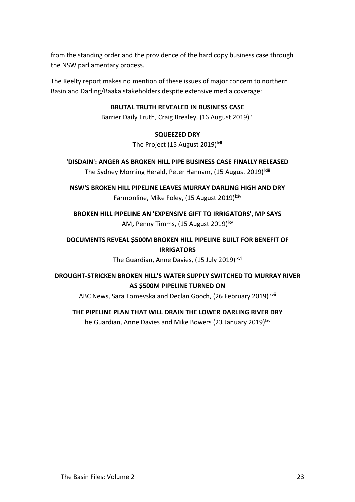from the standing order and the providence of the hard copy business case through the NSW parliamentary process.

The Keelty report makes no mention of these issues of major concern to northern Basin and Darling/Baaka stakeholders despite extensive media coverage:

#### **BRUTAL TRUTH REVEALED IN BUSINESS CASE**

Barrier Daily Truth, Craig Brealey, (16 August 2019)<sup>ki</sup>

#### **SQUEEZED DRY**

The Project (15 August 2019)<sup>Ixii</sup>

## **'DISDAIN': ANGER AS BROKEN HILL PIPE BUSINESS CASE FINALLY RELEASED** The Sydney Morning Herald, Peter Hannam, (15 August 2019)<sup>Ixiii</sup>

**NSW'S BROKEN HILL PIPELINE LEAVES MURRAY DARLING HIGH AND DRY** Farmonline, Mike Foley, (15 August 2019)<sup>lxiv</sup>

**BROKEN HILL PIPELINE AN 'EXPENSIVE GIFT TO IRRIGATORS', MP SAYS** AM, Penny Timms, (15 August 2019)<sup>lxv</sup>

## **DOCUMENTS REVEAL \$500M BROKEN HILL PIPELINE BUILT FOR BENEFIT OF IRRIGATORS**

The Guardian, Anne Davies, (15 July 2019)<sup>lxvi</sup>

# **DROUGHT-STRICKEN BROKEN HILL'S WATER SUPPLY SWITCHED TO MURRAY RIVER AS \$500M PIPELINE TURNED ON**

ABC News, Sara Tomevska and Declan Gooch, (26 February 2019)<sup>lxvii</sup>

## **THE PIPELINE PLAN THAT WILL DRAIN THE LOWER DARLING RIVER DRY**

The Guardian, Anne Davies and Mike Bowers (23 January 2019)<sup>lxviii</sup>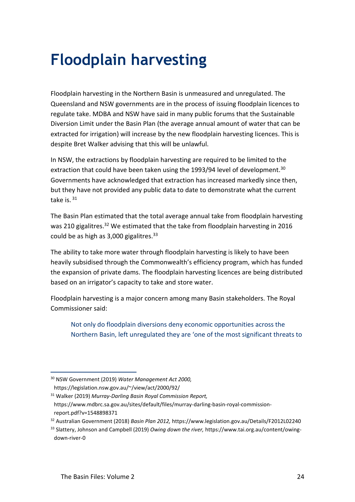# **Floodplain harvesting**

Floodplain harvesting in the Northern Basin is unmeasured and unregulated. The Queensland and NSW governments are in the process of issuing floodplain licences to regulate take. MDBA and NSW have said in many public forums that the Sustainable Diversion Limit under the Basin Plan (the average annual amount of water that can be extracted for irrigation) will increase by the new floodplain harvesting licences. This is despite Bret Walker advising that this will be unlawful.

In NSW, the extractions by floodplain harvesting are required to be limited to the extraction that could have been taken using the 1993/94 level of development.<sup>30</sup> Governments have acknowledged that extraction has increased markedly since then, but they have not provided any public data to date to demonstrate what the current take is.<sup>31</sup>

The Basin Plan estimated that the total average annual take from floodplain harvesting was 210 gigalitres.<sup>32</sup> We estimated that the take from floodplain harvesting in 2016 could be as high as 3,000 gigalitres.<sup>33</sup>

The ability to take more water through floodplain harvesting is likely to have been heavily subsidised through the Commonwealth's efficiency program, which has funded the expansion of private dams. The floodplain harvesting licences are being distributed based on an irrigator's capacity to take and store water.

Floodplain harvesting is a major concern among many Basin stakeholders. The Royal Commissioner said:

Not only do floodplain diversions deny economic opportunities across the Northern Basin, left unregulated they are 'one of the most significant threats to

<sup>30</sup> NSW Government (2019) *Water Management Act 2000,*

https://legislation.nsw.gov.au/~/view/act/2000/92/

<sup>31</sup> Walker (2019) *Murray-Darling Basin Royal Commission Report,*  https://www.mdbrc.sa.gov.au/sites/default/files/murray-darling-basin-royal-commissionreport.pdf?v=1548898371

<sup>32</sup> Australian Government (2018) *Basin Plan 2012,* https://www.legislation.gov.au/Details/F2012L02240

<sup>33</sup> Slattery, Johnson and Campbell (2019) *Owing down the river,* https://www.tai.org.au/content/owingdown-river-0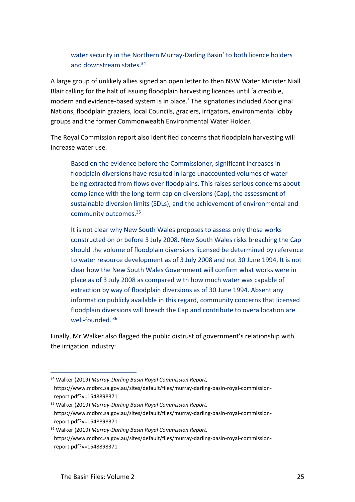## water security in the Northern Murray-Darling Basin' to both licence holders and downstream states.<sup>34</sup>

A large group of unlikely allies signed an open letter to then NSW Water Minister Niall Blair calling for the halt of issuing floodplain harvesting licences until 'a credible, modern and evidence-based system is in place.' The signatories included Aboriginal Nations, floodplain graziers, local Councils, graziers, irrigators, environmental lobby groups and the former Commonwealth Environmental Water Holder.

The Royal Commission report also identified concerns that floodplain harvesting will increase water use.

Based on the evidence before the Commissioner, significant increases in floodplain diversions have resulted in large unaccounted volumes of water being extracted from flows over floodplains. This raises serious concerns about compliance with the long-term cap on diversions (Cap), the assessment of sustainable diversion limits (SDLs), and the achievement of environmental and community outcomes.<sup>35</sup>

It is not clear why New South Wales proposes to assess only those works constructed on or before 3 July 2008. New South Wales risks breaching the Cap should the volume of floodplain diversions licensed be determined by reference to water resource development as of 3 July 2008 and not 30 June 1994. It is not clear how the New South Wales Government will confirm what works were in place as of 3 July 2008 as compared with how much water was capable of extraction by way of floodplain diversions as of 30 June 1994. Absent any information publicly available in this regard, community concerns that licensed floodplain diversions will breach the Cap and contribute to overallocation are well-founded. <sup>36</sup>

Finally, Mr Walker also flagged the public distrust of government's relationship with the irrigation industry:

<sup>34</sup> Walker (2019) *Murray-Darling Basin Royal Commission Report,*  https://www.mdbrc.sa.gov.au/sites/default/files/murray-darling-basin-royal-commissionreport.pdf?v=1548898371

<sup>35</sup> Walker (2019) *Murray-Darling Basin Royal Commission Report,*  https://www.mdbrc.sa.gov.au/sites/default/files/murray-darling-basin-royal-commissionreport.pdf?v=1548898371

<sup>36</sup> Walker (2019) *Murray-Darling Basin Royal Commission Report,*  https://www.mdbrc.sa.gov.au/sites/default/files/murray-darling-basin-royal-commissionreport.pdf?v=1548898371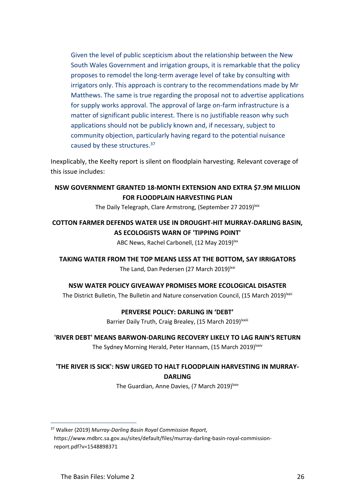Given the level of public scepticism about the relationship between the New South Wales Government and irrigation groups, it is remarkable that the policy proposes to remodel the long-term average level of take by consulting with irrigators only. This approach is contrary to the recommendations made by Mr Matthews. The same is true regarding the proposal not to advertise applications for supply works approval. The approval of large on-farm infrastructure is a matter of significant public interest. There is no justifiable reason why such applications should not be publicly known and, if necessary, subject to community objection, particularly having regard to the potential nuisance caused by these structures.<sup>37</sup>

Inexplicably, the Keelty report is silent on floodplain harvesting. Relevant coverage of this issue includes:

#### **NSW GOVERNMENT GRANTED 18-MONTH EXTENSION AND EXTRA \$7.9M MILLION FOR FLOODPLAIN HARVESTING PLAN**

The Daily Telegraph, Clare Armstrong, (September 27 2019) Kix

# **COTTON FARMER DEFENDS WATER USE IN DROUGHT-HIT MURRAY-DARLING BASIN, AS ECOLOGISTS WARN OF 'TIPPING POINT'**

ABC News, Rachel Carbonell, (12 May 2019)<sup>lxx</sup>

**TAKING WATER FROM THE TOP MEANS LESS AT THE BOTTOM, SAY IRRIGATORS**

The Land, Dan Pedersen (27 March 2019)<sup>lxxi</sup>

**NSW WATER POLICY GIVEAWAY PROMISES MORE ECOLOGICAL DISASTER**

The District Bulletin, The Bulletin and Nature conservation Council, (15 March 2019)<sup>lxxii</sup>

#### **PERVERSE POLICY: DARLING IN 'DEBT'**

Barrier Daily Truth, Craig Brealey, (15 March 2019) | xxiii

#### **'RIVER DEBT' MEANS BARWON-DARLING RECOVERY LIKELY TO LAG RAIN'S RETURN**

The Sydney Morning Herald, Peter Hannam, (15 March 2019)<sup>Ixxiv</sup>

# **'THE RIVER IS SICK': NSW URGED TO HALT FLOODPLAIN HARVESTING IN MURRAY-**

**DARLING**

The Guardian, Anne Davies, (7 March 2019)<sup>1xxv</sup>

<sup>37</sup> Walker (2019) *Murray-Darling Basin Royal Commission Report,*  https://www.mdbrc.sa.gov.au/sites/default/files/murray-darling-basin-royal-commissionreport.pdf?v=1548898371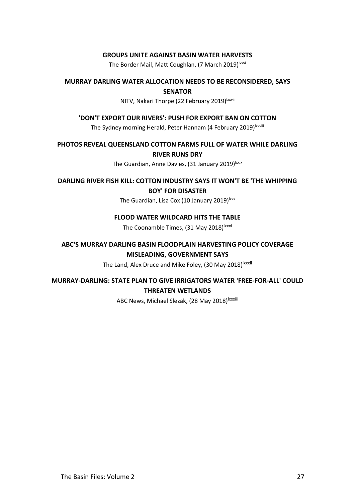#### **GROUPS UNITE AGAINST BASIN WATER HARVESTS**

The Border Mail, Matt Coughlan, (7 March 2019)<sup>Ixxvi</sup>

#### **MURRAY DARLING WATER ALLOCATION NEEDS TO BE RECONSIDERED, SAYS SENATOR**

#### NITV, Nakari Thorpe (22 February 2019)<sup>Ixxvii</sup>

#### **'DON'T EXPORT OUR RIVERS': PUSH FOR EXPORT BAN ON COTTON**

The Sydney morning Herald, Peter Hannam (4 February 2019)<sup>Ixxviii</sup>

**PHOTOS REVEAL QUEENSLAND COTTON FARMS FULL OF WATER WHILE DARLING RIVER RUNS DRY**

The Guardian, Anne Davies, (31 January 2019) lxxix

**DARLING RIVER FISH KILL: COTTON INDUSTRY SAYS IT WON'T BE 'THE WHIPPING BOY' FOR DISASTER**

The Guardian, Lisa Cox (10 January 2019)<sup>1xxx</sup>

#### **FLOOD WATER WILDCARD HITS THE TABLE**

The Coonamble Times, (31 May 2018)<sup>Ixxxi</sup>

## **ABC'S MURRAY DARLING BASIN FLOODPLAIN HARVESTING POLICY COVERAGE MISLEADING, GOVERNMENT SAYS**

The Land, Alex Druce and Mike Foley, (30 May 2018)<sup>Ixxxii</sup>

## **MURRAY-DARLING: STATE PLAN TO GIVE IRRIGATORS WATER 'FREE-FOR-ALL' COULD THREATEN WETLANDS**

ABC News, Michael Slezak, (28 May 2018)<sup>lxxxiii</sup>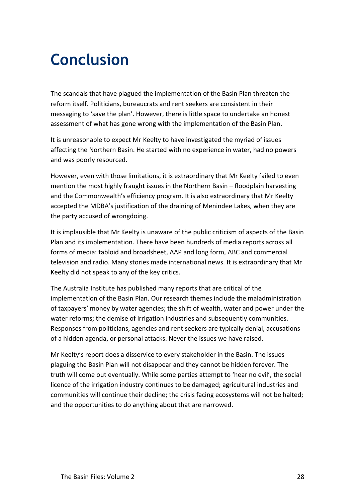# **Conclusion**

The scandals that have plagued the implementation of the Basin Plan threaten the reform itself. Politicians, bureaucrats and rent seekers are consistent in their messaging to 'save the plan'. However, there is little space to undertake an honest assessment of what has gone wrong with the implementation of the Basin Plan.

It is unreasonable to expect Mr Keelty to have investigated the myriad of issues affecting the Northern Basin. He started with no experience in water, had no powers and was poorly resourced.

However, even with those limitations, it is extraordinary that Mr Keelty failed to even mention the most highly fraught issues in the Northern Basin – floodplain harvesting and the Commonwealth's efficiency program. It is also extraordinary that Mr Keelty accepted the MDBA's justification of the draining of Menindee Lakes, when they are the party accused of wrongdoing.

It is implausible that Mr Keelty is unaware of the public criticism of aspects of the Basin Plan and its implementation. There have been hundreds of media reports across all forms of media: tabloid and broadsheet, AAP and long form, ABC and commercial television and radio. Many stories made international news. It is extraordinary that Mr Keelty did not speak to any of the key critics.

The Australia Institute has published many reports that are critical of the implementation of the Basin Plan. Our research themes include the maladministration of taxpayers' money by water agencies; the shift of wealth, water and power under the water reforms; the demise of irrigation industries and subsequently communities. Responses from politicians, agencies and rent seekers are typically denial, accusations of a hidden agenda, or personal attacks. Never the issues we have raised.

Mr Keelty's report does a disservice to every stakeholder in the Basin. The issues plaguing the Basin Plan will not disappear and they cannot be hidden forever. The truth will come out eventually. While some parties attempt to 'hear no evil', the social licence of the irrigation industry continues to be damaged; agricultural industries and communities will continue their decline; the crisis facing ecosystems will not be halted; and the opportunities to do anything about that are narrowed.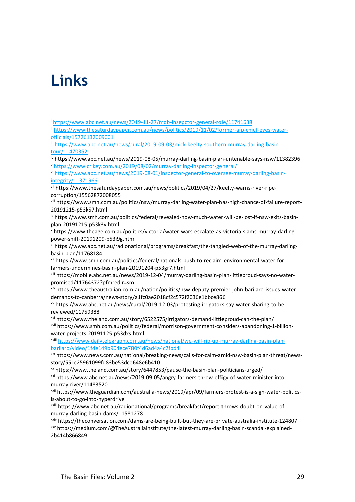# **Links**

 $\overline{a}$ 

<sup>i</sup> <https://www.abc.net.au/news/2019-11-27/mdb-insepctor-general-role/11741638>

ii [https://www.thesaturdaypaper.com.au/news/politics/2019/11/02/former-afp-chief-eyes-water](https://www.thesaturdaypaper.com.au/news/politics/2019/11/02/former-afp-chief-eyes-water-officials/15726132009001)[officials/15726132009001](https://www.thesaturdaypaper.com.au/news/politics/2019/11/02/former-afp-chief-eyes-water-officials/15726132009001)

iii [https://www.abc.net.au/news/rural/2019-09-03/mick-keelty-southern-murray-darling-basin](https://www.abc.net.au/news/rural/2019-09-03/mick-keelty-southern-murray-darling-basin-tour/11470352)[tour/11470352](https://www.abc.net.au/news/rural/2019-09-03/mick-keelty-southern-murray-darling-basin-tour/11470352)

iv https://www.abc.net.au/news/2019-08-05/murray-darling-basin-plan-untenable-says-nsw/11382396 <sup>v</sup> <https://www.crikey.com.au/2019/08/02/murray-darling-inspector-general/>

vi [https://www.abc.net.au/news/2019-08-01/inspector-general-to-oversee-murray-darling-basin](https://www.abc.net.au/news/2019-08-01/inspector-general-to-oversee-murray-darling-basin-integrity/11371966)[integrity/11371966](https://www.abc.net.au/news/2019-08-01/inspector-general-to-oversee-murray-darling-basin-integrity/11371966)

vii https://www.thesaturdaypaper.com.au/news/politics/2019/04/27/keelty-warns-river-ripecorruption/15562872008055

viii https://www.smh.com.au/politics/nsw/murray-darling-water-plan-has-high-chance-of-failure-report-20191215-p53k57.html

ix https://www.smh.com.au/politics/federal/revealed-how-much-water-will-be-lost-if-nsw-exits-basinplan-20191215-p53k3v.html

<sup>x</sup> https://www.theage.com.au/politics/victoria/water-wars-escalate-as-victoria-slams-murray-darlingpower-shift-20191209-p53i9g.html

xi https://www.abc.net.au/radionational/programs/breakfast/the-tangled-web-of-the-murray-darlingbasin-plan/11768184

xii https://www.smh.com.au/politics/federal/nationals-push-to-reclaim-environmental-water-forfarmers-undermines-basin-plan-20191204-p53gr7.html

xiii https://mobile.abc.net.au/news/2019-12-04/murray-darling-basin-plan-littleproud-says-no-waterpromised/11764372?pfmredir=sm

xiv https://www.theaustralian.com.au/nation/politics/nsw-deputy-premier-john-barilaro-issues-waterdemands-to-canberra/news-story/a1fc0ae2018cf2c572f2036e1bbce866

xv https://www.abc.net.au/news/rural/2019-12-03/protesting-irrigators-say-water-sharing-to-bereviewed/11759388

xvi https://www.theland.com.au/story/6522575/irrigators-demand-littleproud-can-the-plan/ xvii https://www.smh.com.au/politics/federal/morrison-government-considers-abandoning-1-billionwater-projects-20191125-p53dxs.html

xviii [https://www.dailytelegraph.com.au/news/national/we-will-rip-up-murray-darling-basin-plan](https://www.dailytelegraph.com.au/news/national/we-will-rip-up-murray-darling-basin-plan-barilaro/video/1fde149b904ece780f4d6ad4a4c7fbd4)[barilaro/video/1fde149b904ece780f4d6ad4a4c7fbd4](https://www.dailytelegraph.com.au/news/national/we-will-rip-up-murray-darling-basin-plan-barilaro/video/1fde149b904ece780f4d6ad4a4c7fbd4)

xix https://www.news.com.au/national/breaking-news/calls-for-calm-amid-nsw-basin-plan-threat/newsstory/551c25961099fd83be53dce648e6b410

xx https://www.theland.com.au/story/6447853/pause-the-basin-plan-politicians-urged/

xxi https://www.abc.net.au/news/2019-09-05/angry-farmers-throw-effigy-of-water-minister-intomurray-river/11483520

xxii https://www.theguardian.com/australia-news/2019/apr/09/farmers-protest-is-a-sign-water-politicsis-about-to-go-into-hyperdrive

xxiii https://www.abc.net.au/radionational/programs/breakfast/report-throws-doubt-on-value-ofmurray-darling-basin-dams/11581278

xxiv https://theconversation.com/dams-are-being-built-but-they-are-private-australia-institute-124807 xxv https://medium.com/@TheAustraliaInstitute/the-latest-murray-darling-basin-scandal-explained-2b414b866849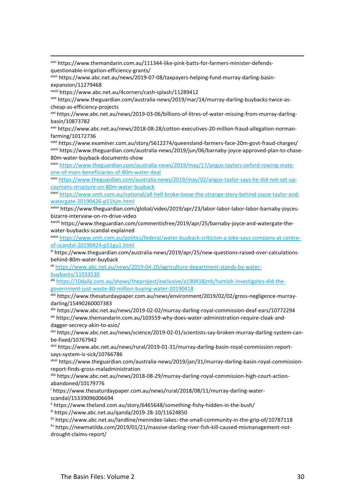xxvi https://www.themandarin.com.au/111344-like-pink-batts-for-farmers-minister-defendsquestionable-irrigation-efficiency-grants/

xxvii https://www.abc.net.au/news/2019-07-08/taxpayers-helping-fund-murray-darling-basinexpansion/11279468

xxviii https://www.abc.net.au/4corners/cash-splash/11289412

**.** 

xxix https://www.theguardian.com/australia-news/2019/mar/14/murray-darling-buybacks-twice-ascheap-as-efficiency-projects

xxx https://www.abc.net.au/news/2019-03-06/billions-of-litres-of-water-missing-from-murray-darlingbasin/10873782

xxxi https://www.abc.net.au/news/2018-08-28/cotton-executives-20-million-fraud-allegation-normanfarming/10172736

xxxii https://www.examiner.com.au/story/5612274/queensland-farmers-face-20m-govt-fraud-charges/ xxxiii https://www.theguardian.com/australia-news/2019/jun/06/barnaby-joyce-approved-plan-to-chase-80m-water-buyback-documents-show

xxxiv [https://www.theguardian.com/australia-news/2019/may/17/angus-taylors-oxford-rowing-mate](https://www.theguardian.com/australia-news/2019/may/17/angus-taylors-oxford-rowing-mate-one-of-main-beneficiaries-of-80m-water-deal)[one-of-main-beneficiaries-of-80m-water-deal](https://www.theguardian.com/australia-news/2019/may/17/angus-taylors-oxford-rowing-mate-one-of-main-beneficiaries-of-80m-water-deal)

xxxv [https://www.theguardian.com/australia-news/2019/may/02/angus-taylor-says-he-did-not-set-up](https://www.theguardian.com/australia-news/2019/may/02/angus-taylor-says-he-did-not-set-up-caymans-structure-on-80m-water-buyback)[caymans-structure-on-80m-water-buyback](https://www.theguardian.com/australia-news/2019/may/02/angus-taylor-says-he-did-not-set-up-caymans-structure-on-80m-water-buyback)

xxxvi [https://www.smh.com.au/national/all-hell-broke-loose-the-strange-story-behind-joyce-taylor-and](https://www.smh.com.au/national/all-hell-broke-loose-the-strange-story-behind-joyce-taylor-and-watergate-20190426-p51hjm.html)[watergate-20190426-p51hjm.html](https://www.smh.com.au/national/all-hell-broke-loose-the-strange-story-behind-joyce-taylor-and-watergate-20190426-p51hjm.html)

xxxvii https://www.theguardian.com/global/video/2019/apr/23/labor-labor-labor-labor-barnaby-joycesbizarre-interview-on-rn-drive-video

xxxviii https://www.theguardian.com/commentisfree/2019/apr/25/barnaby-joyce-and-watergate-thewater-buybacks-scandal-explained

xxxix [https://www.smh.com.au/politics/federal/water-buyback-criticism-a-joke-says-company-at-centre](https://www.smh.com.au/politics/federal/water-buyback-criticism-a-joke-says-company-at-centre-of-scandal-20190424-p51gu1.html)[of-scandal-20190424-p51gu1.html](https://www.smh.com.au/politics/federal/water-buyback-criticism-a-joke-says-company-at-centre-of-scandal-20190424-p51gu1.html)

xl https://www.theguardian.com/australia-news/2019/apr/25/new-questions-raised-over-calculationsbehind-80m-water-buyback

xli [https://www.abc.net.au/news/2019-04-20/agriculture-department-stands-by-water](https://www.abc.net.au/news/2019-04-20/agriculture-department-stands-by-water-buybacks/11033530)[buybacks/11033530](https://www.abc.net.au/news/2019-04-20/agriculture-department-stands-by-water-buybacks/11033530)

xlii [https://10daily.com.au/shows/theproject/exclusive/a190418jmb/hamish-investigates-did-the](https://10daily.com.au/shows/theproject/exclusive/a190418jmb/hamish-investigates-did-the-government-just-waste-80-million-buying-water-20190418)[government-just-waste-80-million-buying-water-20190418](https://10daily.com.au/shows/theproject/exclusive/a190418jmb/hamish-investigates-did-the-government-just-waste-80-million-buying-water-20190418)

xliii https://www.thesaturdaypaper.com.au/news/environment/2019/02/02/gross-negligence-murraydarling/15490260007383

xliv https://www.abc.net.au/news/2019-02-02/murray-darling-royal-commission-deaf-ears/10772294 xlv https://www.themandarin.com.au/103559-why-does-water-administration-require-cloak-anddagger-secrecy-akin-to-asio/

xlvi https://www.abc.net.au/news/science/2019-02-01/scientists-say-broken-murray-darling-system-canbe-fixed/10767942

xlvii https://www.abc.net.au/news/rural/2019-01-31/murray-darling-basin-royal-commission-reportsays-system-is-sick/10766786

xlviii https://www.theguardian.com/australia-news/2019/jan/31/murray-darling-basin-royal-commissionreport-finds-gross-maladministration

xlix https://www.abc.net.au/news/2018-08-29/murray-darling-royal-commission-high-court-actionabandoned/10179776

<sup>l</sup> https://www.thesaturdaypaper.com.au/news/rural/2018/08/11/murray-darling-waterscandal/15339096006694

li https://www.theland.com.au/story/6465648/something-fishy-hidden-in-the-bush/

lii https://www.abc.net.au/qanda/2019-28-10/11624850

liii https://www.abc.net.au/landline/menindee-lakes:-the-small-community-in-the-grip-of/10787118

liv https://newmatilda.com/2019/01/21/massive-darling-river-fish-kill-caused-mismanagement-notdrought-claims-report/